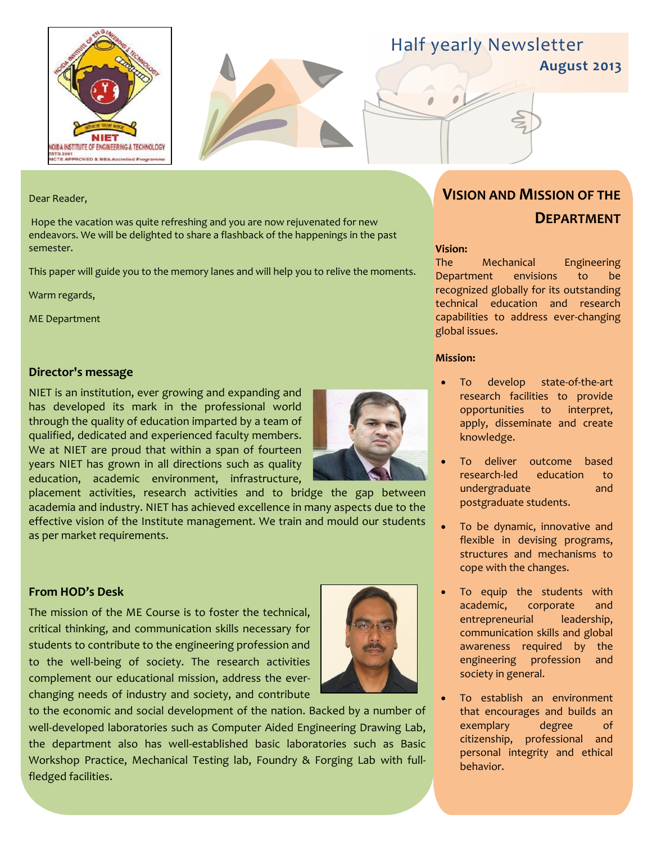



# Half yearly Newsletter

**August 2013**

#### Dear Reader,

Hope the vacation was quite refreshing and you are now rejuvenated for new endeavors. We will be delighted to share a flashback of the happenings in the past semester.

This paper will guide you to the memory lanes and will help you to relive the moments.

Warm regards,

ME Department

#### **Director's message**

NIET is an institution, ever growing and expanding and has developed its mark in the professional world through the quality of education imparted by a team of qualified, dedicated and experienced faculty members. We at NIET are proud that within a span of fourteen years NIET has grown in all directions such as quality education, academic environment, infrastructure,



placement activities, research activities and to bridge the gap between academia and industry. NIET has achieved excellence in many aspects due to the effective vision of the Institute management. We train and mould our students as per market requirements.

# **From HOD's Desk**

The mission of the ME Course is to foster the technical, critical thinking, and communication skills necessary for students to contribute to the engineering profession and to the well-being of society. The research activities complement our educational mission, address the everchanging needs of industry and society, and contribute



to the economic and social development of the nation. Backed by a number of well-developed laboratories such as Computer Aided Engineering Drawing Lab, the department also has well-established basic laboratories such as Basic Workshop Practice, Mechanical Testing lab, Foundry & Forging Lab with fullfledged facilities.

# **VISION AND MISSION OF THE DEPARTMENT**

#### **Vision:**

The Mechanical Engineering Department envisions to be recognized globally for its outstanding technical education and research capabilities to address ever-changing global issues.

#### **Mission:**

- To develop state-of-the-art research facilities to provide opportunities to interpret, apply, disseminate and create knowledge.
- To deliver outcome based research-led education to undergraduate and postgraduate students.
- To be dynamic, innovative and flexible in devising programs, structures and mechanisms to cope with the changes.
- To equip the students with academic, corporate and entrepreneurial leadership, communication skills and global awareness required by the engineering profession and society in general.
- To establish an environment that encourages and builds an exemplary degree of citizenship, professional and personal integrity and ethical behavior.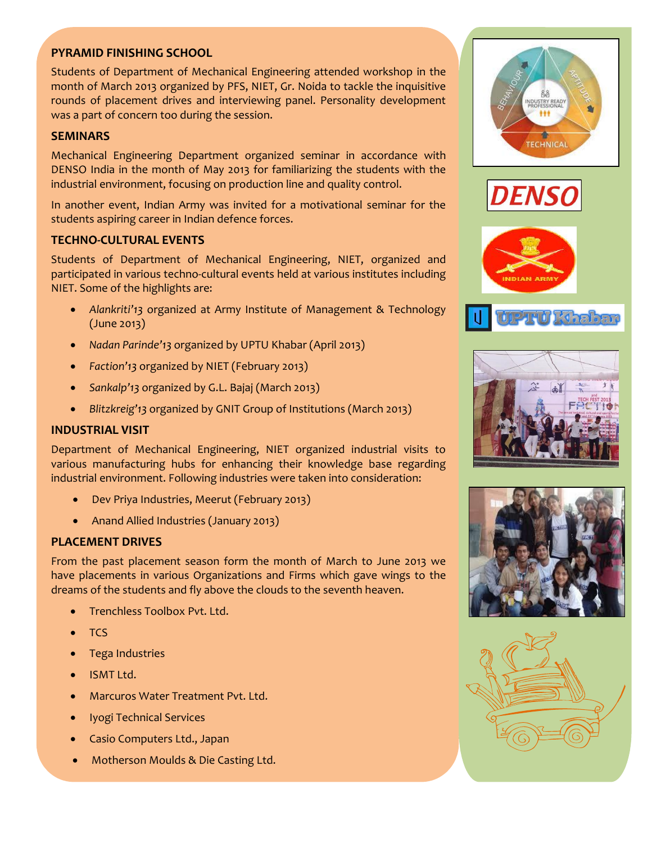# **PYRAMID FINISHING SCHOOL**

Students of Department of Mechanical Engineering attended workshop in the month of March 2013 organized by PFS, NIET, Gr. Noida to tackle the inquisitive rounds of placement drives and interviewing panel. Personality development was a part of concern too during the session.

### **SEMINARS**

Mechanical Engineering Department organized seminar in accordance with DENSO India in the month of May 2013 for familiarizing the students with the industrial environment, focusing on production line and quality control.

In another event, Indian Army was invited for a motivational seminar for the students aspiring career in Indian defence forces.

### **TECHNO-CULTURAL EVENTS**

Students of Department of Mechanical Engineering, NIET, organized and participated in various techno-cultural events held at various institutes including NIET. Some of the highlights are:

- *Alankriti'13* organized at Army Institute of Management & Technology (June 2013)
- *Nadan Parinde'13* organized by UPTU Khabar (April 2013)
- *Faction'13* organized by NIET (February 2013)
- *Sankalp'13* organized by G.L. Bajaj (March 2013)
- *Blitzkreig'13* organized by GNIT Group of Institutions (March 2013)

#### **INDUSTRIAL VISIT**

Department of Mechanical Engineering, NIET organized industrial visits to various manufacturing hubs for enhancing their knowledge base regarding industrial environment. Following industries were taken into consideration:

- Dev Priya Industries, Meerut (February 2013)
- Anand Allied Industries (January 2013)

## **PLACEMENT DRIVES**

From the past placement season form the month of March to June 2013 we have placements in various Organizations and Firms which gave wings to the dreams of the students and fly above the clouds to the seventh heaven.

- Trenchless Toolbox Pvt. Ltd.
- **TCS**
- Tega Industries
- ISMT Ltd.
- Marcuros Water Treatment Pvt. Ltd.
- Iyogi Technical Services
- Casio Computers Ltd., Japan
- Motherson Moulds & Die Casting Ltd.













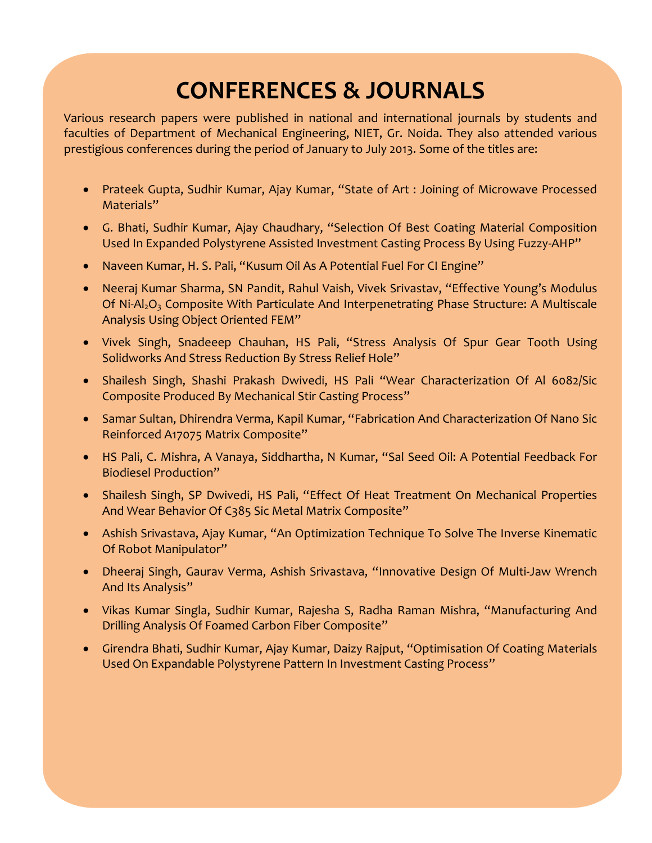# **CONFERENCES & JOURNALS**

Various research papers were published in national and international journals by students and faculties of Department of Mechanical Engineering, NIET, Gr. Noida. They also attended various prestigious conferences during the period of January to July 2013. Some of the titles are:

- Prateek Gupta, Sudhir Kumar, Ajay Kumar, "State of Art : Joining of Microwave Processed Materials"
- G. Bhati, Sudhir Kumar, Ajay Chaudhary, "Selection Of Best Coating Material Composition Used In Expanded Polystyrene Assisted Investment Casting Process By Using Fuzzy-AHP"
- Naveen Kumar, H. S. Pali, "Kusum Oil As A Potential Fuel For CI Engine"
- Neeraj Kumar Sharma, SN Pandit, Rahul Vaish, Vivek Srivastav, "Effective Young's Modulus Of Ni-Al<sub>2</sub>O<sub>3</sub> Composite With Particulate And Interpenetrating Phase Structure: A Multiscale Analysis Using Object Oriented FEM"
- Vivek Singh, Snadeeep Chauhan, HS Pali, "Stress Analysis Of Spur Gear Tooth Using Solidworks And Stress Reduction By Stress Relief Hole"
- Shailesh Singh, Shashi Prakash Dwivedi, HS Pali "Wear Characterization Of Al 6082/Sic Composite Produced By Mechanical Stir Casting Process"
- Samar Sultan, Dhirendra Verma, Kapil Kumar, "Fabrication And Characterization Of Nano Sic Reinforced A17075 Matrix Composite"
- HS Pali, C. Mishra, A Vanaya, Siddhartha, N Kumar, "Sal Seed Oil: A Potential Feedback For Biodiesel Production"
- Shailesh Singh, SP Dwivedi, HS Pali, "Effect Of Heat Treatment On Mechanical Properties And Wear Behavior Of C385 Sic Metal Matrix Composite"
- Ashish Srivastava, Ajay Kumar, "An Optimization Technique To Solve The Inverse Kinematic Of Robot Manipulator"
- Dheeraj Singh, Gaurav Verma, Ashish Srivastava, "Innovative Design Of Multi-Jaw Wrench And Its Analysis"
- Vikas Kumar Singla, Sudhir Kumar, Rajesha S, Radha Raman Mishra, "Manufacturing And Drilling Analysis Of Foamed Carbon Fiber Composite"
- Girendra Bhati, Sudhir Kumar, Ajay Kumar, Daizy Rajput, "Optimisation Of Coating Materials Used On Expandable Polystyrene Pattern In Investment Casting Process"